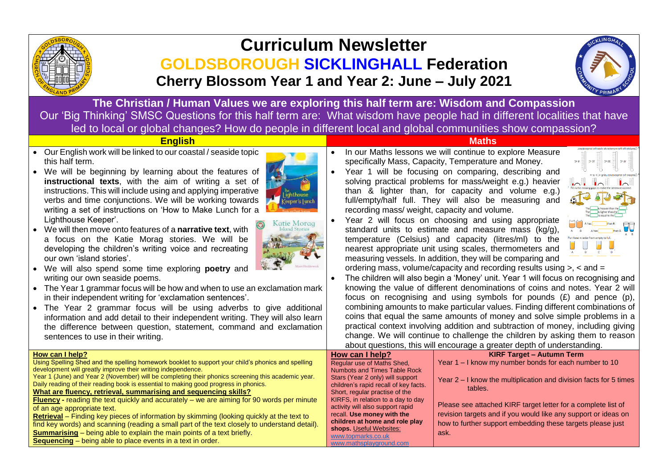

## **Curriculum Newsletter GOLDSBOROUGH SICKLINGHALL Federation Cherry Blossom Year 1 and Year 2: June – July 2021**



**The Christian / Human Values we are exploring this half term are: Wisdom and Compassion** Our 'Big Thinking' SMSC Questions for this half term are: What wisdom have people had in different localities that have led to local or global changes? How do people in different local and global communities show compassion?

- Our English work will be linked to our coastal / seaside topic this half term.
- We will be beginning by learning about the features of **instructional texts**, with the aim of writing a set of instructions. This will include using and applying imperative verbs and time conjunctions. We will be working towards writing a set of instructions on 'How to Make Lunch for a Lighthouse Keeper'.
- We will then move onto features of a **narrative text**, with a focus on the Katie Morag stories. We will be developing the children's writing voice and recreating our own 'island stories'.
- We will also spend some time exploring **poetry** and writing our own seaside poems.
- The Year 1 grammar focus will be how and when to use an exclamation mark in their independent writing for 'exclamation sentences'.
- The Year 2 grammar focus will be using adverbs to give additional information and add detail to their independent writing. They will also learn the difference between question, statement, command and exclamation sentences to use in their writing.





## **English Maths**

- In our Maths lessons we will continue to explore Measure specifically Mass, Capacity, Temperature and Money.
- Year 1 will be focusing on comparing, describing and solving practical problems for mass/weight e.g.) heavier than & lighter than, for capacity and volume e.g.) full/empty/half full. They will also be measuring and recording mass/ weight, capacity and volume.
- Year 2 will focus on choosing and using appropriate standard units to estimate and measure mass (kg/g), temperature (Celsius) and capacity (litres/ml) to the nearest appropriate unit using scales, thermometers and measuring vessels. In addition, they will be comparing and



ordering mass, volume/capacity and recording results using  $> x <$  and  $=$ 

• The children will also begin a 'Money' unit. Year 1 will focus on recognising and knowing the value of different denominations of coins and notes. Year 2 will focus on recognising and using symbols for pounds (£) and pence (p), combining amounts to make particular values. Finding different combinations of coins that equal the same amounts of money and solve simple problems in a practical context involving addition and subtraction of money, including giving change. We will continue to challenge the children by asking them to reason about questions, this will encourage a greater depth of understanding.

|                                                                                                    |                                               | about questions, this will checulage a greater acplir or unacrotationly. |
|----------------------------------------------------------------------------------------------------|-----------------------------------------------|--------------------------------------------------------------------------|
| How can I help?                                                                                    | How can I help?                               | <b>KIRF Target - Autumn Term</b>                                         |
| Using Spelling Shed and the spelling homework booklet to support your child's phonics and spelling | Regular use of Maths Shed,                    | Year 1 – I know my number bonds for each number to 10                    |
| development will greatly improve their writing independence.                                       | Numbots and Times Table Rock                  |                                                                          |
| Year 1 (June) and Year 2 (November) will be completing their phonics screening this academic year. | Stars (Year 2 only) will support              | Year $2 - I$ know the multiplication and division facts for 5 times      |
| Daily reading of their reading book is essential to making good progress in phonics.               | children's rapid recall of key facts.         | tables.                                                                  |
| What are fluency, retrieval, summarising and sequencing skills?                                    | Short, regular practise of the                |                                                                          |
| <b>Fluency</b> - reading the text quickly and accurately $-$ we are aiming for 90 words per minute | KIRFS, in relation to a day to day            | Please see attached KIRF target letter for a complete list of            |
| of an age appropriate text.                                                                        | activity will also support rapid              |                                                                          |
| Retrieval - Finding key pieces of information by skimming (looking quickly at the text to          | recall. Use money with the                    | revision targets and if you would like any support or ideas on           |
| find key words) and scanning (reading a small part of the text closely to understand detail).      | children at home and role play                | how to further support embedding these targets please just               |
| <b>Summarising</b> – being able to explain the main points of a text briefly.                      | shops. Useful Websites:<br>www.topmarks.co.uk | ask.                                                                     |
| Sequencing - being able to place events in a text in order.                                        | www.mathsplayground.com                       |                                                                          |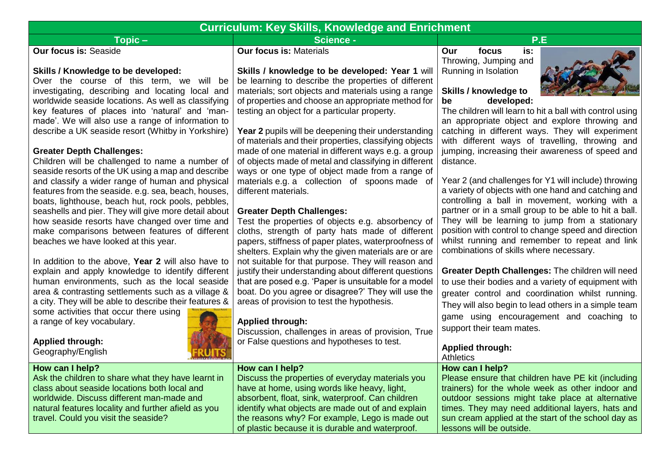| <b>Curriculum: Key Skills, Knowledge and Enrichment</b>                                                                                                                                                                                                                                                                                                                                                                                                                                                                                                                                                                                                                                                                                                                                                                                                                                                                                                                                                                                                                                                                                                                                                                                                                               |                                                                                                                                                                                                                                                                                                                                                                                                                                                                                                                                                                                                                                                                                                                                                                                                                                                                                                                                                                                                                                                                                                                                                                                                                                                                                                                 |                                                                                                                                                                                                                                                                                                                                                                                                                                                                                                                                                                                                                                                                                                                                                                                                                                                                                                                                                                                                                                                                                                                     |
|---------------------------------------------------------------------------------------------------------------------------------------------------------------------------------------------------------------------------------------------------------------------------------------------------------------------------------------------------------------------------------------------------------------------------------------------------------------------------------------------------------------------------------------------------------------------------------------------------------------------------------------------------------------------------------------------------------------------------------------------------------------------------------------------------------------------------------------------------------------------------------------------------------------------------------------------------------------------------------------------------------------------------------------------------------------------------------------------------------------------------------------------------------------------------------------------------------------------------------------------------------------------------------------|-----------------------------------------------------------------------------------------------------------------------------------------------------------------------------------------------------------------------------------------------------------------------------------------------------------------------------------------------------------------------------------------------------------------------------------------------------------------------------------------------------------------------------------------------------------------------------------------------------------------------------------------------------------------------------------------------------------------------------------------------------------------------------------------------------------------------------------------------------------------------------------------------------------------------------------------------------------------------------------------------------------------------------------------------------------------------------------------------------------------------------------------------------------------------------------------------------------------------------------------------------------------------------------------------------------------|---------------------------------------------------------------------------------------------------------------------------------------------------------------------------------------------------------------------------------------------------------------------------------------------------------------------------------------------------------------------------------------------------------------------------------------------------------------------------------------------------------------------------------------------------------------------------------------------------------------------------------------------------------------------------------------------------------------------------------------------------------------------------------------------------------------------------------------------------------------------------------------------------------------------------------------------------------------------------------------------------------------------------------------------------------------------------------------------------------------------|
| $Topic -$                                                                                                                                                                                                                                                                                                                                                                                                                                                                                                                                                                                                                                                                                                                                                                                                                                                                                                                                                                                                                                                                                                                                                                                                                                                                             | <b>Science -</b>                                                                                                                                                                                                                                                                                                                                                                                                                                                                                                                                                                                                                                                                                                                                                                                                                                                                                                                                                                                                                                                                                                                                                                                                                                                                                                | P.E                                                                                                                                                                                                                                                                                                                                                                                                                                                                                                                                                                                                                                                                                                                                                                                                                                                                                                                                                                                                                                                                                                                 |
| <b>Our focus is: Seaside</b>                                                                                                                                                                                                                                                                                                                                                                                                                                                                                                                                                                                                                                                                                                                                                                                                                                                                                                                                                                                                                                                                                                                                                                                                                                                          | <b>Our focus is: Materials</b>                                                                                                                                                                                                                                                                                                                                                                                                                                                                                                                                                                                                                                                                                                                                                                                                                                                                                                                                                                                                                                                                                                                                                                                                                                                                                  | is.<br>Our<br>focus<br>Throwing, Jumping and                                                                                                                                                                                                                                                                                                                                                                                                                                                                                                                                                                                                                                                                                                                                                                                                                                                                                                                                                                                                                                                                        |
| <b>Skills / Knowledge to be developed:</b><br>Over the course of this term, we will be<br>investigating, describing and locating local and<br>worldwide seaside locations. As well as classifying<br>key features of places into 'natural' and 'man-<br>made'. We will also use a range of information to<br>describe a UK seaside resort (Whitby in Yorkshire)<br><b>Greater Depth Challenges:</b><br>Children will be challenged to name a number of<br>seaside resorts of the UK using a map and describe<br>and classify a wider range of human and physical<br>features from the seaside. e.g. sea, beach, houses,<br>boats, lighthouse, beach hut, rock pools, pebbles,<br>seashells and pier. They will give more detail about<br>how seaside resorts have changed over time and<br>make comparisons between features of different<br>beaches we have looked at this year.<br>In addition to the above, Year 2 will also have to<br>explain and apply knowledge to identify different<br>human environments, such as the local seaside<br>area & contrasting settlements such as a village &<br>a city. They will be able to describe their features &<br>some activities that occur there using<br>a range of key vocabulary.<br><b>Applied through:</b><br>Geography/English | Skills / knowledge to be developed: Year 1 will<br>be learning to describe the properties of different<br>materials; sort objects and materials using a range<br>of properties and choose an appropriate method for<br>testing an object for a particular property.<br><b>Year 2</b> pupils will be deepening their understanding<br>of materials and their properties, classifying objects<br>made of one material in different ways e.g. a group<br>of objects made of metal and classifying in different<br>ways or one type of object made from a range of<br>materials e.g. a collection of spoons made of<br>different materials.<br><b>Greater Depth Challenges:</b><br>Test the properties of objects e.g. absorbency of<br>cloths, strength of party hats made of different<br>papers, stiffness of paper plates, waterproofness of<br>shelters. Explain why the given materials are or are<br>not suitable for that purpose. They will reason and<br>justify their understanding about different questions<br>that are posed e.g. 'Paper is unsuitable for a model<br>boat. Do you agree or disagree?' They will use the<br>areas of provision to test the hypothesis.<br><b>Applied through:</b><br>Discussion, challenges in areas of provision, True<br>or False questions and hypotheses to test. | Running in Isolation<br>Skills / knowledge to<br>be<br>developed:<br>The children will learn to hit a ball with control using<br>an appropriate object and explore throwing and<br>catching in different ways. They will experiment<br>with different ways of travelling, throwing and<br>jumping, increasing their awareness of speed and<br>distance.<br>Year 2 (and challenges for Y1 will include) throwing<br>a variety of objects with one hand and catching and<br>controlling a ball in movement, working with a<br>partner or in a small group to be able to hit a ball.<br>They will be learning to jump from a stationary<br>position with control to change speed and direction<br>whilst running and remember to repeat and link<br>combinations of skills where necessary.<br>Greater Depth Challenges: The children will need<br>to use their bodies and a variety of equipment with<br>greater control and coordination whilst running.<br>They will also begin to lead others in a simple team<br>game using encouragement and coaching to<br>support their team mates.<br><b>Applied through:</b> |
| How can I help?                                                                                                                                                                                                                                                                                                                                                                                                                                                                                                                                                                                                                                                                                                                                                                                                                                                                                                                                                                                                                                                                                                                                                                                                                                                                       | How can I help?                                                                                                                                                                                                                                                                                                                                                                                                                                                                                                                                                                                                                                                                                                                                                                                                                                                                                                                                                                                                                                                                                                                                                                                                                                                                                                 | <b>Athletics</b><br>How can I help?                                                                                                                                                                                                                                                                                                                                                                                                                                                                                                                                                                                                                                                                                                                                                                                                                                                                                                                                                                                                                                                                                 |
| Ask the children to share what they have learnt in<br>class about seaside locations both local and<br>worldwide. Discuss different man-made and<br>natural features locality and further afield as you<br>travel. Could you visit the seaside?                                                                                                                                                                                                                                                                                                                                                                                                                                                                                                                                                                                                                                                                                                                                                                                                                                                                                                                                                                                                                                        | Discuss the properties of everyday materials you<br>have at home, using words like heavy, light,<br>absorbent, float, sink, waterproof. Can children<br>identify what objects are made out of and explain<br>the reasons why? For example, Lego is made out<br>of plastic because it is durable and waterproof.                                                                                                                                                                                                                                                                                                                                                                                                                                                                                                                                                                                                                                                                                                                                                                                                                                                                                                                                                                                                 | Please ensure that children have PE kit (including<br>trainers) for the whole week as other indoor and<br>outdoor sessions might take place at alternative<br>times. They may need additional layers, hats and<br>sun cream applied at the start of the school day as<br>lessons will be outside.                                                                                                                                                                                                                                                                                                                                                                                                                                                                                                                                                                                                                                                                                                                                                                                                                   |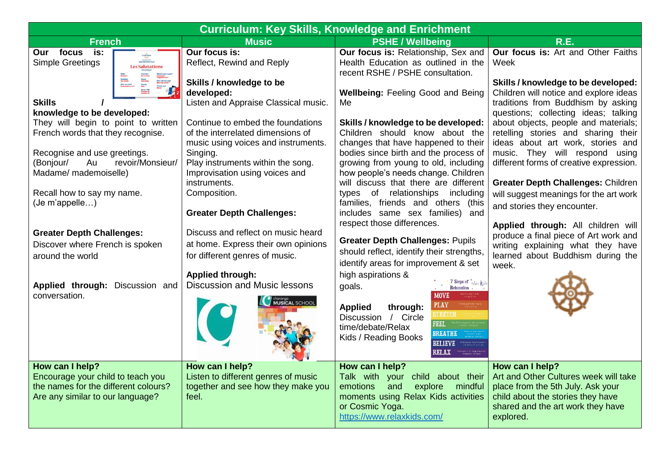| <b>Curriculum: Key Skills, Knowledge and Enrichment</b>                                                                                                                                                                                                                                                                                                               |                                                                                                                                                                                                                                                                                                    |                                                                                                                                                                                                                                                                                                                                                        |                                                                                                                                                                                                                                                                                                                                                                                                           |
|-----------------------------------------------------------------------------------------------------------------------------------------------------------------------------------------------------------------------------------------------------------------------------------------------------------------------------------------------------------------------|----------------------------------------------------------------------------------------------------------------------------------------------------------------------------------------------------------------------------------------------------------------------------------------------------|--------------------------------------------------------------------------------------------------------------------------------------------------------------------------------------------------------------------------------------------------------------------------------------------------------------------------------------------------------|-----------------------------------------------------------------------------------------------------------------------------------------------------------------------------------------------------------------------------------------------------------------------------------------------------------------------------------------------------------------------------------------------------------|
| <b>French</b>                                                                                                                                                                                                                                                                                                                                                         | <b>Music</b>                                                                                                                                                                                                                                                                                       | <b>PSHE / Wellbeing</b>                                                                                                                                                                                                                                                                                                                                | R.E.                                                                                                                                                                                                                                                                                                                                                                                                      |
| Our focus<br>is:<br><b>Simple Greetings</b><br><b>Les Salutations</b>                                                                                                                                                                                                                                                                                                 | Our focus is:<br>Reflect, Rewind and Reply                                                                                                                                                                                                                                                         | Our focus is: Relationship, Sex and<br>Health Education as outlined in the<br>recent RSHE / PSHE consultation.                                                                                                                                                                                                                                         | Our focus is: Art and Other Faiths<br>Week                                                                                                                                                                                                                                                                                                                                                                |
| Hello<br>Bonjour<br>Goodbye<br>Au revoir<br>How are you?<br>Commut ça va?<br>Lam fino<br>Ça va birn<br>Great<br>Três birn<br>Poorly<br>Mai<br><b>Skills</b><br>knowledge to be developed:<br>They will begin to point to written<br>French words that they recognise.<br>Recognise and use greetings.<br>(Bonjour/<br>Au<br>revoir/Monsieur/<br>Madame/ mademoiselle) | Skills / knowledge to be<br>developed:<br>Listen and Appraise Classical music.<br>Continue to embed the foundations<br>of the interrelated dimensions of<br>music using voices and instruments.<br>Singing.<br>Play instruments within the song.<br>Improvisation using voices and<br>instruments. | Wellbeing: Feeling Good and Being<br>Me<br>Skills / knowledge to be developed:<br>Children should know about the<br>changes that have happened to their<br>bodies since birth and the process of<br>growing from young to old, including<br>how people's needs change. Children<br>will discuss that there are different                               | Skills / knowledge to be developed:<br>Children will notice and explore ideas<br>traditions from Buddhism by asking<br>questions; collecting ideas; talking<br>about objects, people and materials;<br>retelling stories and sharing their<br>ideas about art work, stories and<br>music. They will respond using<br>different forms of creative expression.<br><b>Greater Depth Challenges: Children</b> |
| Recall how to say my name.<br>(Je m'appelle)                                                                                                                                                                                                                                                                                                                          | Composition.<br><b>Greater Depth Challenges:</b>                                                                                                                                                                                                                                                   | types of relationships including<br>families, friends and others (this<br>includes same sex families) and<br>respect those differences.                                                                                                                                                                                                                | will suggest meanings for the art work<br>and stories they encounter.<br>Applied through: All children will                                                                                                                                                                                                                                                                                               |
| <b>Greater Depth Challenges:</b><br>Discover where French is spoken<br>around the world                                                                                                                                                                                                                                                                               | Discuss and reflect on music heard<br>at home. Express their own opinions<br>for different genres of music.<br><b>Applied through:</b>                                                                                                                                                             | <b>Greater Depth Challenges: Pupils</b><br>should reflect, identify their strengths,<br>identify areas for improvement & set<br>high aspirations &                                                                                                                                                                                                     | produce a final piece of Art work and<br>writing explaining what they have<br>learned about Buddhism during the<br>week.                                                                                                                                                                                                                                                                                  |
| Applied through: Discussion and<br>conversation.                                                                                                                                                                                                                                                                                                                      | Discussion and Music lessons<br><b>CO</b> chararge<br>MUSICAL SCHOOL                                                                                                                                                                                                                               | 7 Steps of relax Kids<br>goals.<br>Relaxation.<br><b>MOVE</b><br><b>PLAY</b><br><b>Applied</b><br>through:<br><b>STRETCH</b><br>Discussion / Circle<br><b>FEEL</b><br>time/debate/Relax<br><b>BREATHE</b><br>Kids / Reading Books<br><b>BELIEVE</b><br><b>Effirmation: for self ed</b><br>confidence & assets<br><b>RELAX</b> Musikalize for the order |                                                                                                                                                                                                                                                                                                                                                                                                           |
| How can I help?<br>Encourage your child to teach you<br>the names for the different colours?<br>Are any similar to our language?                                                                                                                                                                                                                                      | How can I help?<br>Listen to different genres of music<br>together and see how they make you<br>feel.                                                                                                                                                                                              | How can I help?<br>Talk with your child about their<br>and<br>explore<br>mindful<br>emotions<br>moments using Relax Kids activities<br>or Cosmic Yoga.<br>https://www.relaxkids.com/                                                                                                                                                                   | How can I help?<br>Art and Other Cultures week will take<br>place from the 5th July. Ask your<br>child about the stories they have<br>shared and the art work they have<br>explored.                                                                                                                                                                                                                      |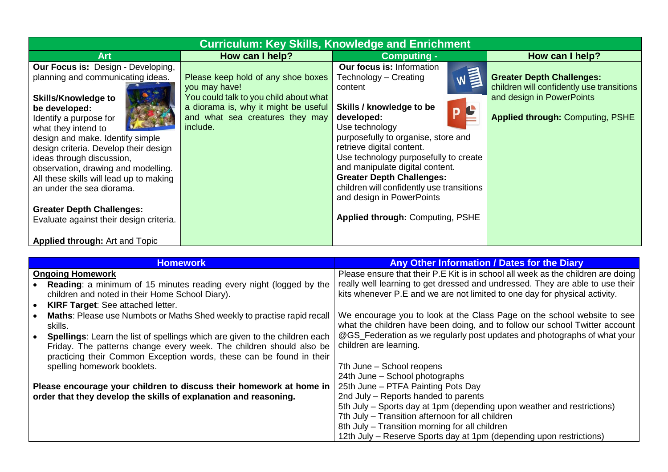| <b>Curriculum: Key Skills, Knowledge and Enrichment</b>                                                                                                                                                                                                                                                                                                                                                                                                                                                                  |                                                                                                                                                                                      |                                                                                                                                                                                                                                                                                                                                                                                                                                                                  |                                                                                                                                                       |
|--------------------------------------------------------------------------------------------------------------------------------------------------------------------------------------------------------------------------------------------------------------------------------------------------------------------------------------------------------------------------------------------------------------------------------------------------------------------------------------------------------------------------|--------------------------------------------------------------------------------------------------------------------------------------------------------------------------------------|------------------------------------------------------------------------------------------------------------------------------------------------------------------------------------------------------------------------------------------------------------------------------------------------------------------------------------------------------------------------------------------------------------------------------------------------------------------|-------------------------------------------------------------------------------------------------------------------------------------------------------|
| <b>Art</b>                                                                                                                                                                                                                                                                                                                                                                                                                                                                                                               | How can I help?                                                                                                                                                                      | <b>Computing -</b>                                                                                                                                                                                                                                                                                                                                                                                                                                               | How can I help?                                                                                                                                       |
| Our Focus is: Design - Developing,<br>planning and communicating ideas.<br><b>Skills/Knowledge to</b><br>be developed:<br>Identify a purpose for<br>what they intend to<br>design and make. Identify simple<br>design criteria. Develop their design<br>ideas through discussion,<br>observation, drawing and modelling.<br>All these skills will lead up to making<br>an under the sea diorama.<br><b>Greater Depth Challenges:</b><br>Evaluate against their design criteria.<br><b>Applied through: Art and Topic</b> | Please keep hold of any shoe boxes<br>you may have!<br>You could talk to you child about what<br>a diorama is, why it might be useful<br>and what sea creatures they may<br>include. | <b>Our focus is: Information</b><br>W <sup>1</sup><br>Technology – Creating<br>content<br>Skills / knowledge to be<br>D<br>developed:<br>Use technology<br>purposefully to organise, store and<br>retrieve digital content.<br>Use technology purposefully to create<br>and manipulate digital content.<br><b>Greater Depth Challenges:</b><br>children will confidently use transitions<br>and design in PowerPoints<br><b>Applied through: Computing, PSHE</b> | <b>Greater Depth Challenges:</b><br>children will confidently use transitions<br>and design in PowerPoints<br><b>Applied through: Computing, PSHE</b> |

|                         | <b>Homework</b>                                                                    | Any Other Information / Dates for the Diary                                      |
|-------------------------|------------------------------------------------------------------------------------|----------------------------------------------------------------------------------|
| <b>Ongoing Homework</b> |                                                                                    | Please ensure that their P.E Kit is in school all week as the children are doing |
|                         | Reading: a minimum of 15 minutes reading every night (logged by the                | really well learning to get dressed and undressed. They are able to use their    |
|                         | children and noted in their Home School Diary).                                    | kits whenever P.E and we are not limited to one day for physical activity.       |
|                         | <b>KIRF Target: See attached letter.</b>                                           |                                                                                  |
|                         | Maths: Please use Numbots or Maths Shed weekly to practise rapid recall            | We encourage you to look at the Class Page on the school website to see          |
| skills.                 |                                                                                    | what the children have been doing, and to follow our school Twitter account      |
|                         | <b>Spellings:</b> Learn the list of spellings which are given to the children each | @GS_Federation as we regularly post updates and photographs of what your         |
|                         | Friday. The patterns change every week. The children should also be                | children are learning.                                                           |
|                         | practicing their Common Exception words, these can be found in their               |                                                                                  |
|                         | spelling homework booklets.                                                        | 7th June - School reopens                                                        |
|                         |                                                                                    | 24th June - School photographs                                                   |
|                         | Please encourage your children to discuss their homework at home in                | 25th June - PTFA Painting Pots Day                                               |
|                         | order that they develop the skills of explanation and reasoning.                   | 2nd July – Reports handed to parents                                             |
|                         |                                                                                    | 5th July – Sports day at 1pm (depending upon weather and restrictions)           |
|                         |                                                                                    | 7th July - Transition afternoon for all children                                 |
|                         |                                                                                    | 8th July – Transition morning for all children                                   |
|                         |                                                                                    | 12th July – Reserve Sports day at 1pm (depending upon restrictions)              |